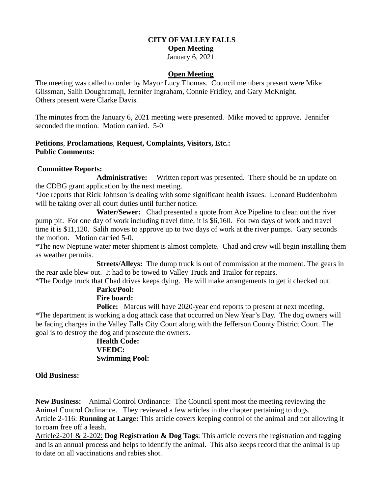# **CITY OF VALLEY FALLS Open Meeting** January 6, 2021

## **Open Meeting**

The meeting was called to order by Mayor Lucy Thomas. Council members present were Mike Glissman, Salih Doughramaji, Jennifer Ingraham, Connie Fridley, and Gary McKnight. Others present were Clarke Davis.

The minutes from the January 6, 2021 meeting were presented. Mike moved to approve. Jennifer seconded the motion. Motion carried. 5-0

## **Petitions**, **Proclamations**, **Request, Complaints, Visitors, Etc.: Public Comments:**

### **Committee Reports:**

**Administrative:** Written report was presented. There should be an update on the CDBG grant application by the next meeting.

\*Joe reports that Rick Johnson is dealing with some significant health issues. Leonard Buddenbohm will be taking over all court duties until further notice.

 **Water/Sewer:** Chad presented a quote from Ace Pipeline to clean out the river pump pit. For one day of work including travel time, it is \$6,160. For two days of work and travel time it is \$11,120. Salih moves to approve up to two days of work at the river pumps. Gary seconds the motion. Motion carried 5-0.

\*The new Neptune water meter shipment is almost complete. Chad and crew will begin installing them as weather permits.

 **Streets/Alleys:** The dump truck is out of commission at the moment. The gears in the rear axle blew out. It had to be towed to Valley Truck and Trailor for repairs.

\*The Dodge truck that Chad drives keeps dying. He will make arrangements to get it checked out.

# **Parks/Pool: Fire board:**

**Police:** Marcus will have 2020-year end reports to present at next meeting. \*The department is working a dog attack case that occurred on New Year's Day. The dog owners will be facing charges in the Valley Falls City Court along with the Jefferson County District Court. The goal is to destroy the dog and prosecute the owners.

**Health Code: VFEDC: Swimming Pool:** 

## **Old Business:**

**New Business:** Animal Control Ordinance: The Council spent most the meeting reviewing the Animal Control Ordinance. They reviewed a few articles in the chapter pertaining to dogs. Article 2-116: **Running at Large:** This article covers keeping control of the animal and not allowing it to roam free off a leash.

Article2-201 & 2-202: **Dog Registration & Dog Tags**: This article covers the registration and tagging and is an annual process and helps to identify the animal. This also keeps record that the animal is up to date on all vaccinations and rabies shot.